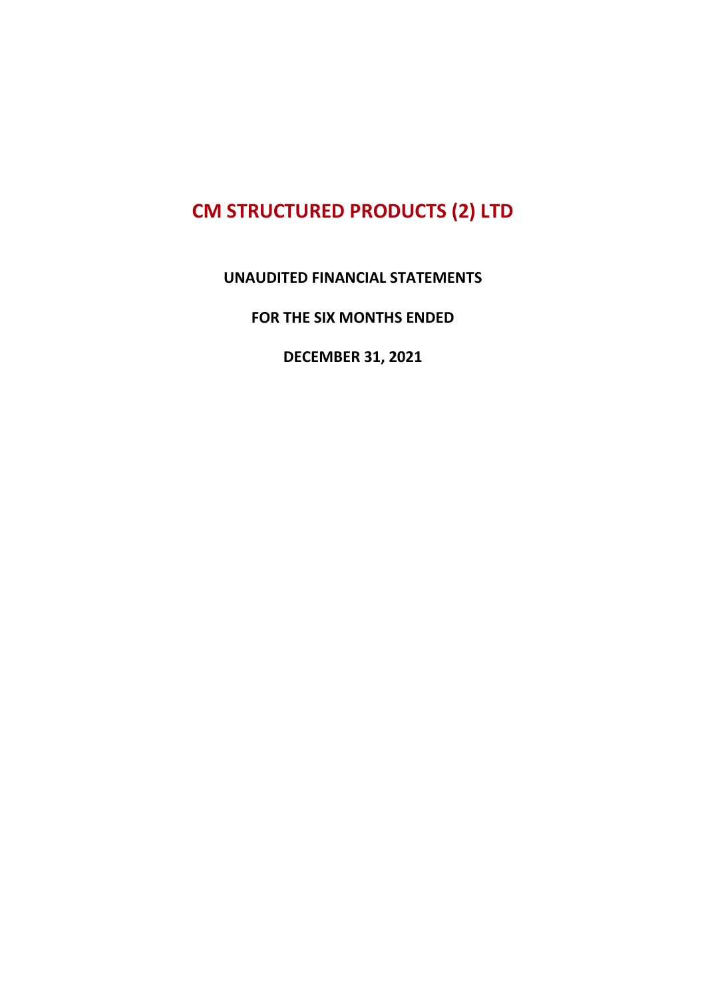#### UNAUDITED FINANCIAL STATEMENTS

FOR THE SIX MONTHS ENDED

DECEMBER 31, 2021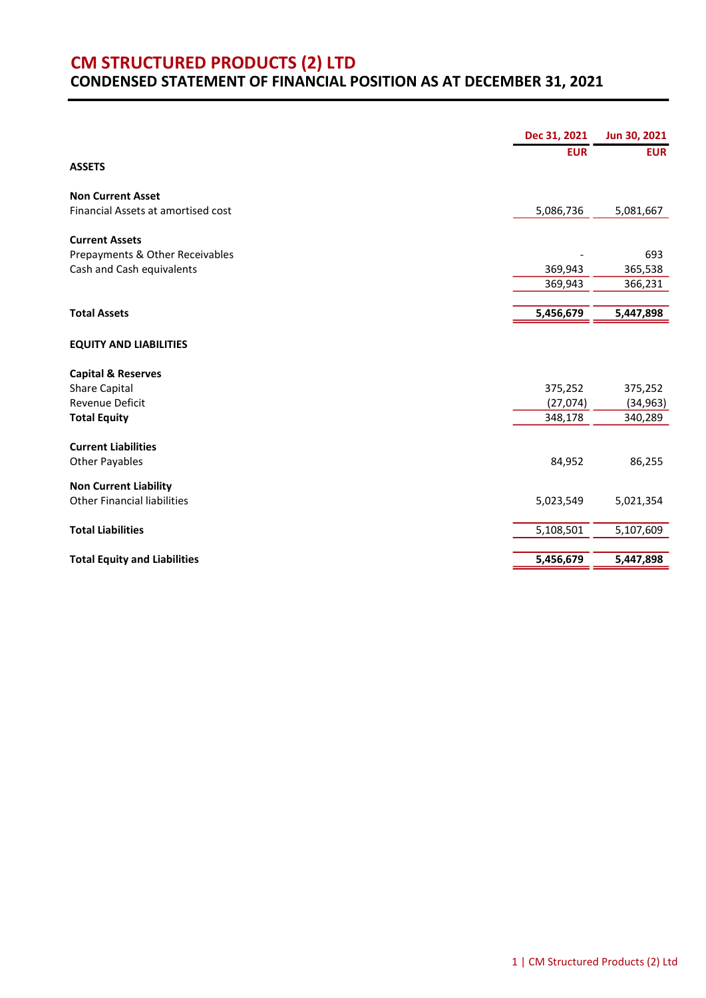#### CONDENSED STATEMENT OF FINANCIAL POSITION AS AT DECEMBER 31, 2021

|                                                                    | Dec 31, 2021 | Jun 30, 2021 |
|--------------------------------------------------------------------|--------------|--------------|
|                                                                    | <b>EUR</b>   | <b>EUR</b>   |
| <b>ASSETS</b>                                                      |              |              |
| <b>Non Current Asset</b>                                           |              |              |
| Financial Assets at amortised cost                                 | 5,086,736    | 5,081,667    |
| <b>Current Assets</b>                                              |              |              |
| Prepayments & Other Receivables                                    |              | 693          |
| Cash and Cash equivalents                                          | 369,943      | 365,538      |
|                                                                    | 369,943      | 366,231      |
| <b>Total Assets</b>                                                | 5,456,679    | 5,447,898    |
|                                                                    |              |              |
| <b>EQUITY AND LIABILITIES</b>                                      |              |              |
| <b>Capital &amp; Reserves</b>                                      |              |              |
| Share Capital                                                      | 375,252      | 375,252      |
| <b>Revenue Deficit</b>                                             | (27,074)     | (34, 963)    |
| <b>Total Equity</b>                                                | 348,178      | 340,289      |
| <b>Current Liabilities</b>                                         |              |              |
| Other Payables                                                     | 84,952       | 86,255       |
|                                                                    |              |              |
| <b>Non Current Liability</b><br><b>Other Financial liabilities</b> | 5,023,549    | 5,021,354    |
|                                                                    |              |              |
| <b>Total Liabilities</b>                                           | 5,108,501    | 5,107,609    |
|                                                                    |              |              |
| <b>Total Equity and Liabilities</b>                                | 5,456,679    | 5,447,898    |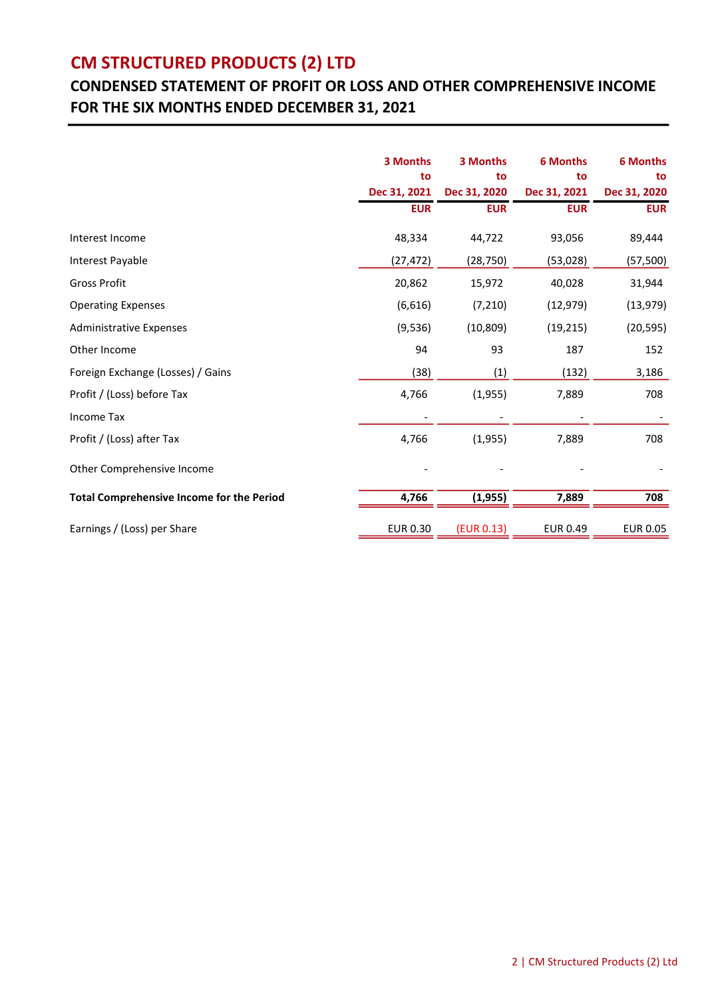### CONDENSED STATEMENT OF PROFIT OR LOSS AND OTHER COMPREHENSIVE INCOME FOR THE SIX MONTHS ENDED DECEMBER 31, 2021

|                                                  | 3 Months        | 3 Months           | <b>6 Months</b>    | <b>6 Months</b>    |  |
|--------------------------------------------------|-----------------|--------------------|--------------------|--------------------|--|
|                                                  | to              | to<br>Dec 31, 2020 | to<br>Dec 31, 2021 | to<br>Dec 31, 2020 |  |
|                                                  | Dec 31, 2021    |                    |                    |                    |  |
|                                                  | <b>EUR</b>      | <b>EUR</b>         | <b>EUR</b>         | <b>EUR</b>         |  |
| Interest Income                                  | 48,334          | 44,722             | 93,056             | 89,444             |  |
| Interest Payable                                 | (27, 472)       | (28, 750)          | (53, 028)          | (57, 500)          |  |
| <b>Gross Profit</b>                              | 20,862          | 15,972             | 40,028             | 31,944             |  |
| <b>Operating Expenses</b>                        | (6,616)         | (7, 210)           | (12, 979)          | (13, 979)          |  |
| <b>Administrative Expenses</b>                   | (9, 536)        | (10, 809)          | (19, 215)          | (20, 595)          |  |
| Other Income                                     | 94              | 93                 | 187                | 152                |  |
| Foreign Exchange (Losses) / Gains                | (38)            | (1)                | (132)              | 3,186              |  |
| Profit / (Loss) before Tax                       | 4,766           | (1,955)            | 7,889              | 708                |  |
| Income Tax                                       |                 |                    |                    |                    |  |
| Profit / (Loss) after Tax                        | 4,766           | (1,955)            | 7,889              | 708                |  |
| Other Comprehensive Income                       |                 |                    |                    |                    |  |
| <b>Total Comprehensive Income for the Period</b> | 4,766           | (1, 955)           | 7,889              | 708                |  |
| Earnings / (Loss) per Share                      | <b>EUR 0.30</b> | (EUR 0.13)         | <b>EUR 0.49</b>    | <b>EUR 0.05</b>    |  |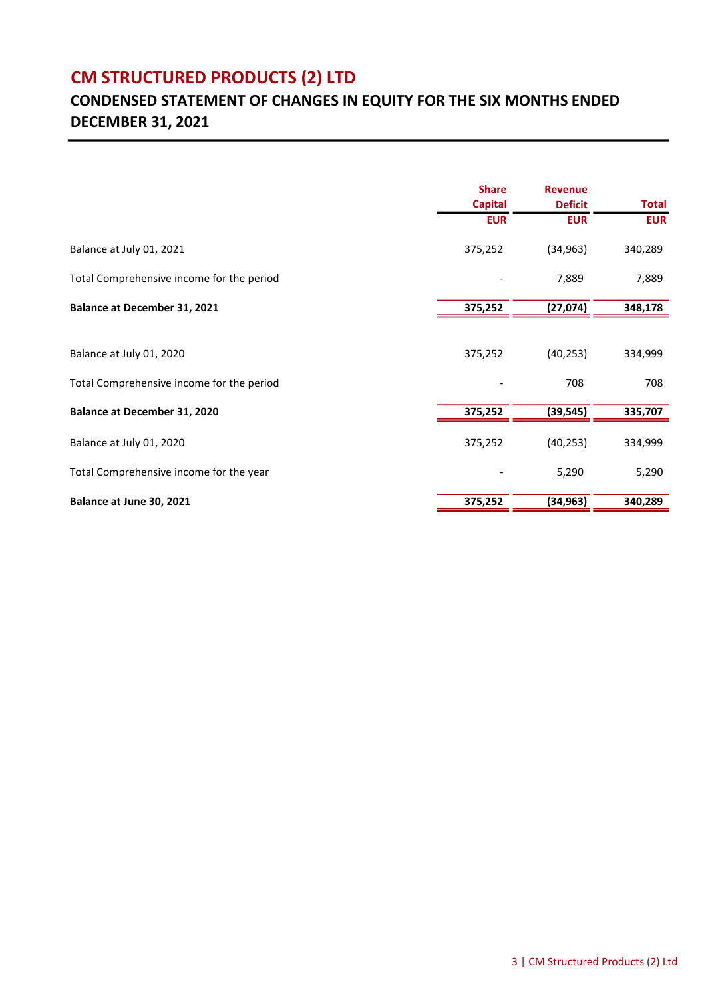### CONDENSED STATEMENT OF CHANGES IN EQUITY FOR THE SIX MONTHS ENDED DECEMBER 31, 2021

|                                           | <b>Share</b><br><b>Capital</b><br><b>EUR</b> | <b>Revenue</b><br><b>Deficit</b><br><b>EUR</b> | <b>Total</b><br><b>EUR</b> |
|-------------------------------------------|----------------------------------------------|------------------------------------------------|----------------------------|
|                                           |                                              |                                                |                            |
|                                           |                                              |                                                |                            |
| Balance at July 01, 2021                  | 375,252                                      | (34, 963)                                      | 340,289                    |
| Total Comprehensive income for the period |                                              | 7,889                                          | 7,889                      |
| <b>Balance at December 31, 2021</b>       | 375,252                                      | (27,074)                                       | 348,178                    |
|                                           |                                              |                                                |                            |
| Balance at July 01, 2020                  | 375,252                                      | (40, 253)                                      | 334,999                    |
| Total Comprehensive income for the period |                                              | 708                                            | 708                        |
| <b>Balance at December 31, 2020</b>       | 375,252                                      | (39, 545)                                      | 335,707                    |
| Balance at July 01, 2020                  | 375,252                                      | (40, 253)                                      | 334,999                    |
| Total Comprehensive income for the year   |                                              | 5,290                                          | 5,290                      |
| Balance at June 30, 2021                  | 375,252                                      | (34, 963)                                      | 340,289                    |